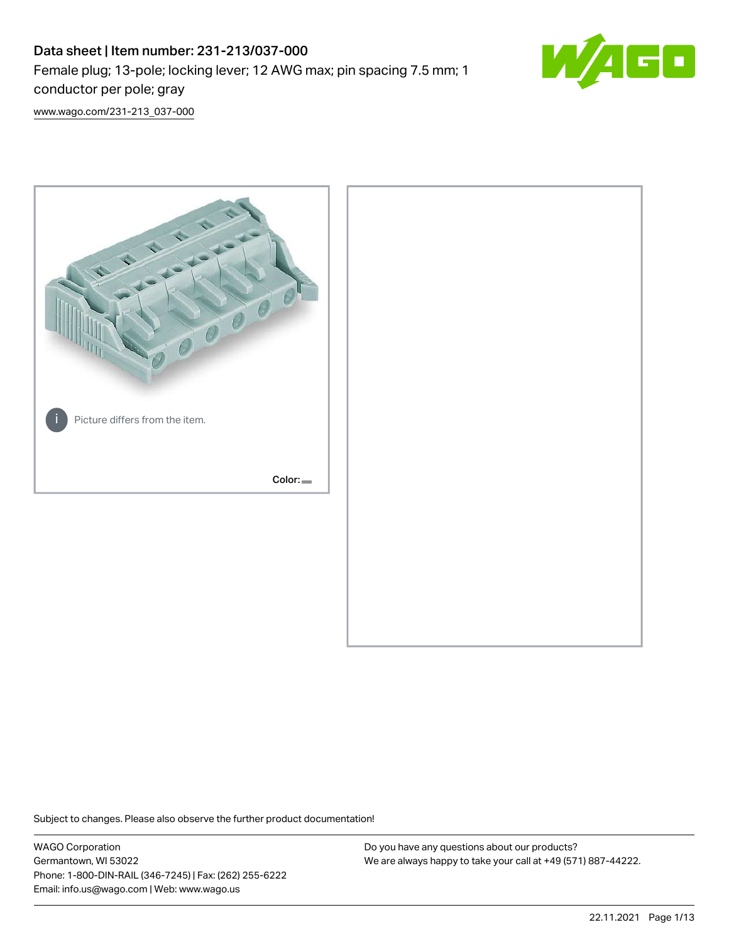# Data sheet | Item number: 231-213/037-000 Female plug; 13-pole; locking lever; 12 AWG max; pin spacing 7.5 mm; 1 conductor per pole; gray



[www.wago.com/231-213\\_037-000](http://www.wago.com/231-213_037-000)



Subject to changes. Please also observe the further product documentation!

WAGO Corporation Germantown, WI 53022 Phone: 1-800-DIN-RAIL (346-7245) | Fax: (262) 255-6222 Email: info.us@wago.com | Web: www.wago.us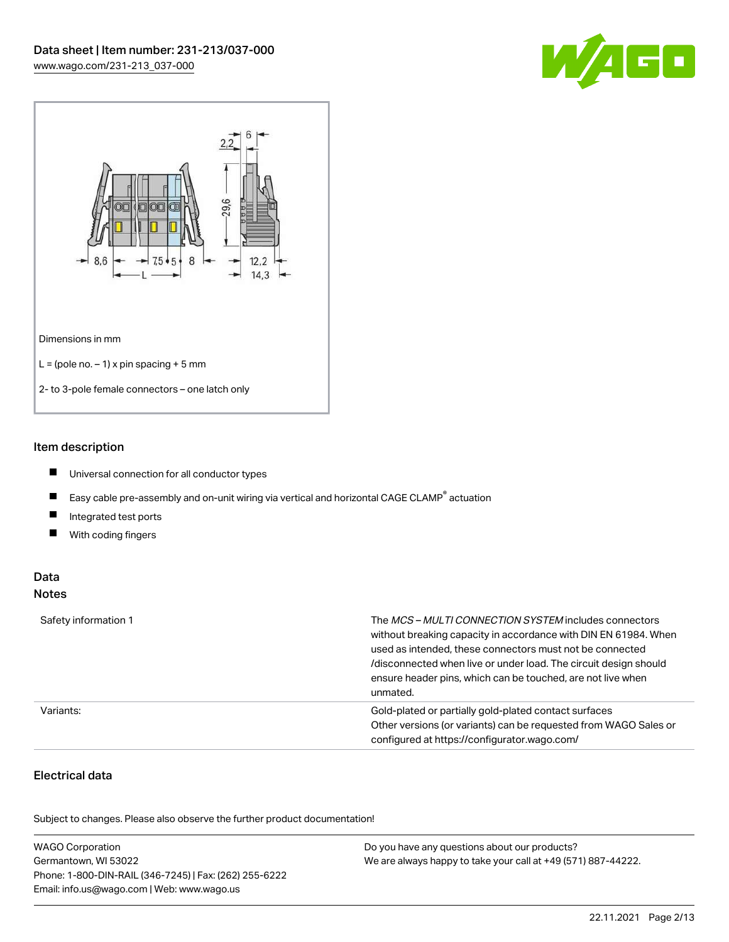



#### Item description

- $\blacksquare$ Universal connection for all conductor types
- $\blacksquare$ Easy cable pre-assembly and on-unit wiring via vertical and horizontal CAGE CLAMP<sup>®</sup> actuation
- $\blacksquare$ Integrated test ports
- $\blacksquare$ With coding fingers

#### Data Notes

| Safety information 1 | The <i>MCS – MULTI CONNECTION SYSTEM</i> includes connectors<br>without breaking capacity in accordance with DIN EN 61984. When<br>used as intended, these connectors must not be connected<br>/disconnected when live or under load. The circuit design should<br>ensure header pins, which can be touched, are not live when<br>unmated. |
|----------------------|--------------------------------------------------------------------------------------------------------------------------------------------------------------------------------------------------------------------------------------------------------------------------------------------------------------------------------------------|
| Variants:            | Gold-plated or partially gold-plated contact surfaces<br>Other versions (or variants) can be requested from WAGO Sales or<br>configured at https://configurator.wago.com/                                                                                                                                                                  |

# Electrical data

.<br>Subject to changes. Please also observe the further product documentation!

| <b>WAGO Corporation</b>                                | Do you have any questions about our products?                 |
|--------------------------------------------------------|---------------------------------------------------------------|
| Germantown, WI 53022                                   | We are always happy to take your call at +49 (571) 887-44222. |
| Phone: 1-800-DIN-RAIL (346-7245)   Fax: (262) 255-6222 |                                                               |
| Email: info.us@wago.com   Web: www.wago.us             |                                                               |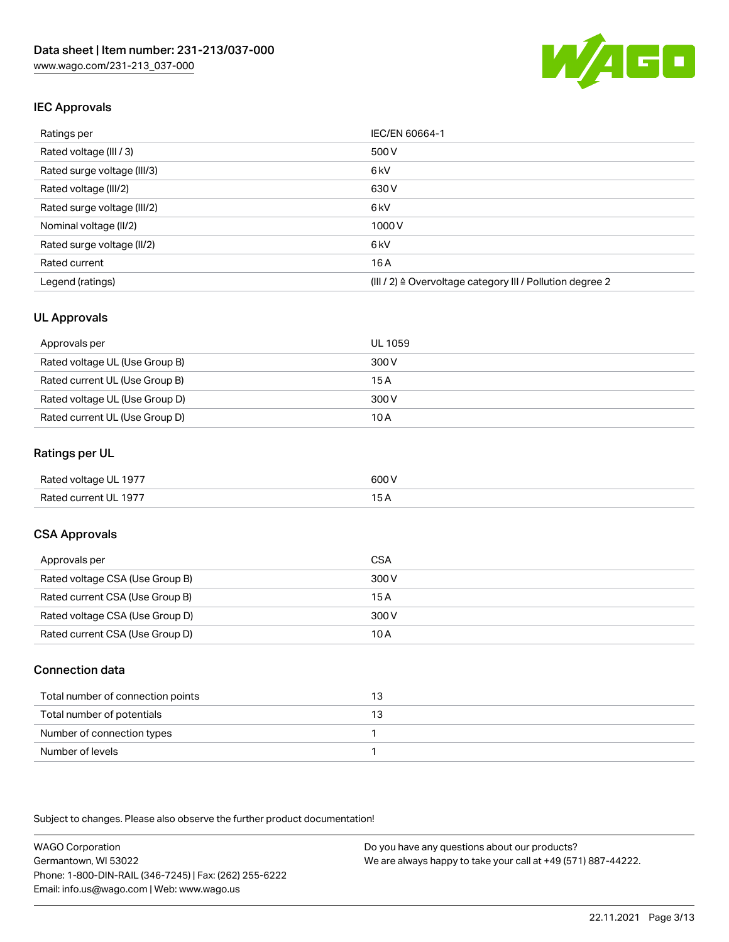

# IEC Approvals

| Ratings per                 | IEC/EN 60664-1                                            |
|-----------------------------|-----------------------------------------------------------|
| Rated voltage (III / 3)     | 500 V                                                     |
| Rated surge voltage (III/3) | 6 <sub>kV</sub>                                           |
| Rated voltage (III/2)       | 630 V                                                     |
| Rated surge voltage (III/2) | 6 <sub>kV</sub>                                           |
| Nominal voltage (II/2)      | 1000 V                                                    |
| Rated surge voltage (II/2)  | 6 <sub>kV</sub>                                           |
| Rated current               | 16A                                                       |
| Legend (ratings)            | (III / 2) ≙ Overvoltage category III / Pollution degree 2 |

#### UL Approvals

| Approvals per                  | UL 1059 |
|--------------------------------|---------|
| Rated voltage UL (Use Group B) | 300 V   |
| Rated current UL (Use Group B) | 15 A    |
| Rated voltage UL (Use Group D) | 300 V   |
| Rated current UL (Use Group D) | 10 A    |

#### Ratings per UL

| Rated voltage UL 1977 | 600 V |
|-----------------------|-------|
| Rated current UL 1977 |       |

### CSA Approvals

| Approvals per                   | CSA   |
|---------------------------------|-------|
| Rated voltage CSA (Use Group B) | 300 V |
| Rated current CSA (Use Group B) | 15 A  |
| Rated voltage CSA (Use Group D) | 300 V |
| Rated current CSA (Use Group D) | 10 A  |

#### Connection data

| Total number of connection points | ل ا |
|-----------------------------------|-----|
| Total number of potentials        |     |
| Number of connection types        |     |
| Number of levels                  |     |

Subject to changes. Please also observe the further product documentation!

WAGO Corporation Germantown, WI 53022 Phone: 1-800-DIN-RAIL (346-7245) | Fax: (262) 255-6222 Email: info.us@wago.com | Web: www.wago.us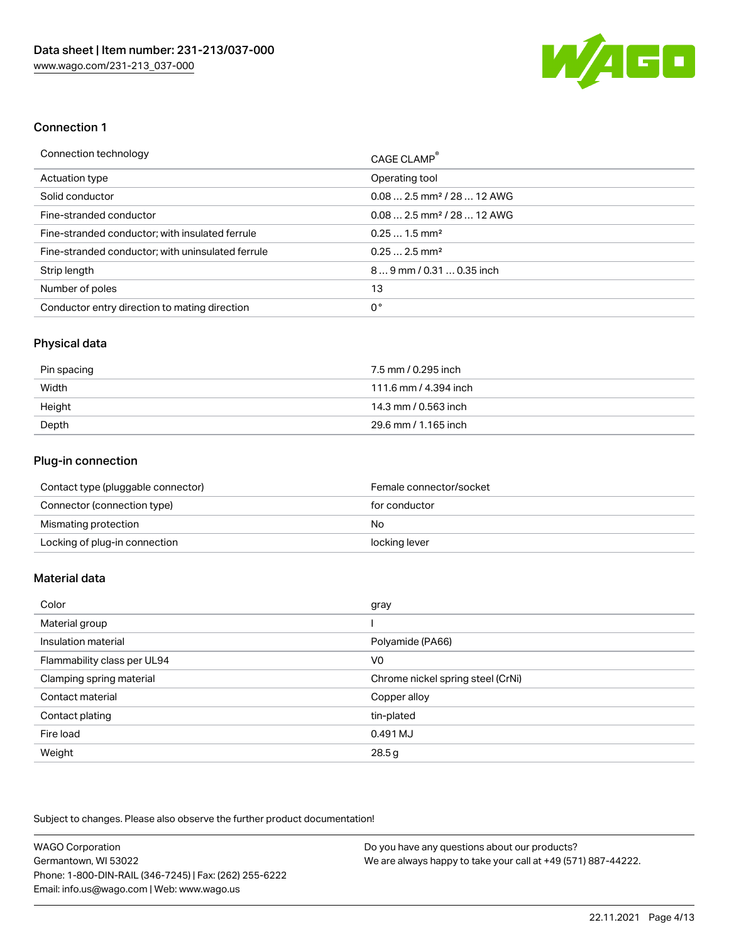

#### Connection 1

| Connection technology                             | CAGE CLAMP®                             |
|---------------------------------------------------|-----------------------------------------|
| <b>Actuation type</b>                             | Operating tool                          |
| Solid conductor                                   | $0.08$ 2.5 mm <sup>2</sup> / 28  12 AWG |
| Fine-stranded conductor                           | $0.08$ 2.5 mm <sup>2</sup> / 28  12 AWG |
| Fine-stranded conductor; with insulated ferrule   | $0.251.5$ mm <sup>2</sup>               |
| Fine-stranded conductor; with uninsulated ferrule | $0.252.5$ mm <sup>2</sup>               |
| Strip length                                      | 89 mm / 0.31  0.35 inch                 |
| Number of poles                                   | 13                                      |
| Conductor entry direction to mating direction     | 0°                                      |

#### Physical data

| Pin spacing | 7.5 mm / 0.295 inch   |
|-------------|-----------------------|
| Width       | 111.6 mm / 4.394 inch |
| Height      | 14.3 mm / 0.563 inch  |
| Depth       | 29.6 mm / 1.165 inch  |

# Plug-in connection

| Contact type (pluggable connector) | Female connector/socket |
|------------------------------------|-------------------------|
| Connector (connection type)        | for conductor           |
| Mismating protection               | No                      |
| Locking of plug-in connection      | locking lever           |

### Material data

| Color                       | gray                              |
|-----------------------------|-----------------------------------|
| Material group              |                                   |
| Insulation material         | Polyamide (PA66)                  |
| Flammability class per UL94 | V0                                |
| Clamping spring material    | Chrome nickel spring steel (CrNi) |
| Contact material            | Copper alloy                      |
| Contact plating             | tin-plated                        |
| Fire load                   | 0.491 MJ                          |
| Weight                      | 28.5g                             |

Subject to changes. Please also observe the further product documentation!

| <b>WAGO Corporation</b>                                | Do you have any questions about our products?                 |
|--------------------------------------------------------|---------------------------------------------------------------|
| Germantown, WI 53022                                   | We are always happy to take your call at +49 (571) 887-44222. |
| Phone: 1-800-DIN-RAIL (346-7245)   Fax: (262) 255-6222 |                                                               |
| Email: info.us@wago.com   Web: www.wago.us             |                                                               |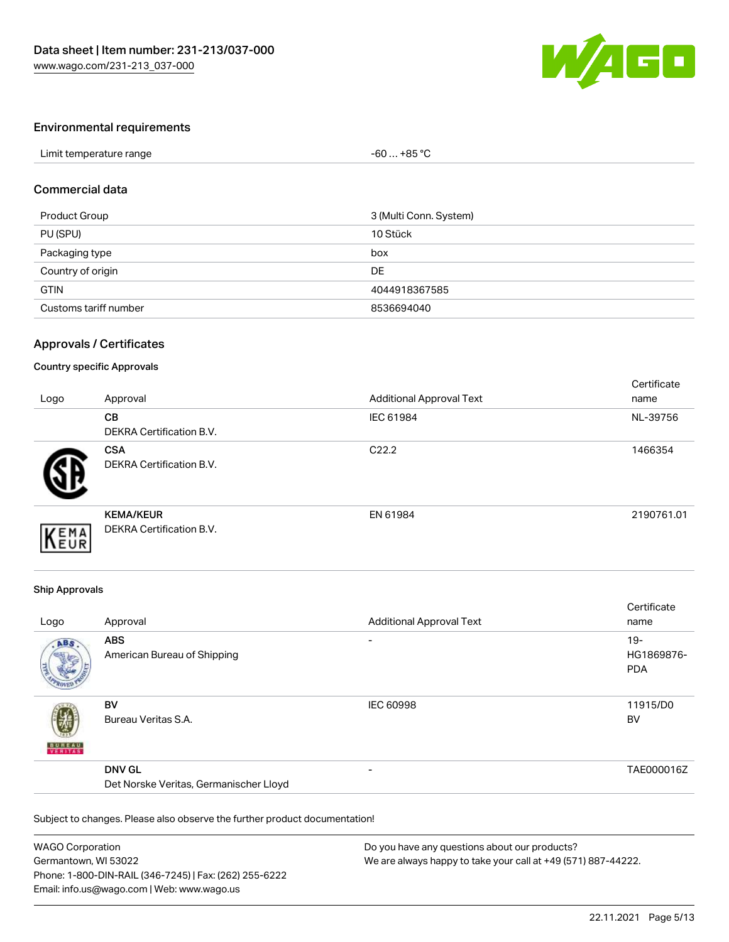

#### Environmental requirements

| Limit temperature range | +85 °C<br>-60 |  |
|-------------------------|---------------|--|

#### Commercial data

| Product Group         | 3 (Multi Conn. System) |
|-----------------------|------------------------|
| PU (SPU)              | 10 Stück               |
| Packaging type        | box                    |
| Country of origin     | DE                     |
| <b>GTIN</b>           | 4044918367585          |
| Customs tariff number | 8536694040             |

#### Approvals / Certificates

#### Country specific Approvals

| Logo | Approval                                            | <b>Additional Approval Text</b> | Certificate<br>name |
|------|-----------------------------------------------------|---------------------------------|---------------------|
|      | <b>CB</b><br>DEKRA Certification B.V.               | IEC 61984                       | NL-39756            |
|      | <b>CSA</b><br><b>DEKRA Certification B.V.</b>       | C <sub>22.2</sub>               | 1466354             |
| EMA  | <b>KEMA/KEUR</b><br><b>DEKRA Certification B.V.</b> | EN 61984                        | 2190761.01          |

#### Ship Approvals

| Logo          | Approval                                                | <b>Additional Approval Text</b> | Certificate<br>name                |
|---------------|---------------------------------------------------------|---------------------------------|------------------------------------|
| ABS           | <b>ABS</b><br>American Bureau of Shipping               | $\overline{\phantom{a}}$        | $19 -$<br>HG1869876-<br><b>PDA</b> |
| <b>BUNEAU</b> | <b>BV</b><br>Bureau Veritas S.A.                        | <b>IEC 60998</b>                | 11915/D0<br><b>BV</b>              |
|               | <b>DNV GL</b><br>Det Norske Veritas, Germanischer Lloyd | $\overline{\phantom{0}}$        | TAE000016Z                         |

Subject to changes. Please also observe the further product documentation!

| <b>WAGO Corporation</b>                                | Do you have any questions about our products?                 |
|--------------------------------------------------------|---------------------------------------------------------------|
| Germantown, WI 53022                                   | We are always happy to take your call at +49 (571) 887-44222. |
| Phone: 1-800-DIN-RAIL (346-7245)   Fax: (262) 255-6222 |                                                               |
| Email: info.us@wago.com   Web: www.wago.us             |                                                               |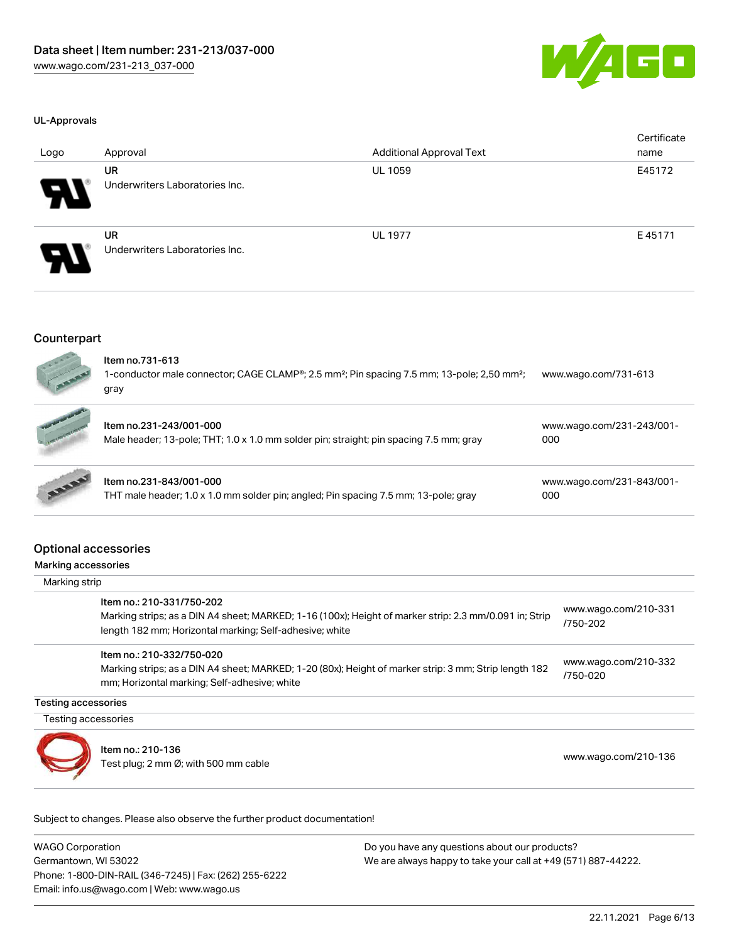

#### UL-Approvals

| Logo                  | Approval                                    | <b>Additional Approval Text</b> | Certificate<br>name |
|-----------------------|---------------------------------------------|---------------------------------|---------------------|
| $\boldsymbol{\theta}$ | <b>UR</b><br>Underwriters Laboratories Inc. | <b>UL 1059</b>                  | E45172              |
| $\boldsymbol{\theta}$ | <b>UR</b><br>Underwriters Laboratories Inc. | <b>UL 1977</b>                  | E45171              |

#### Counterpart



| Item no.731-613<br>1-conductor male connector; CAGE CLAMP®; 2.5 mm <sup>2</sup> ; Pin spacing 7.5 mm; 13-pole; 2,50 mm <sup>2</sup> ;<br>gray | www.wago.com/731-613             |
|-----------------------------------------------------------------------------------------------------------------------------------------------|----------------------------------|
| ltem no.231-243/001-000<br>Male header; 13-pole; THT; 1.0 x 1.0 mm solder pin; straight; pin spacing 7.5 mm; gray                             | www.wago.com/231-243/001-<br>000 |
| Item no.231-843/001-000<br>THT male header; 1.0 x 1.0 mm solder pin; angled; Pin spacing 7.5 mm; 13-pole; gray                                | www.wago.com/231-843/001-<br>000 |

# Optional accessories

Marking accessories

Marking strip

|                     | Item no.: 210-331/750-202<br>Marking strips; as a DIN A4 sheet; MARKED; 1-16 (100x); Height of marker strip: 2.3 mm/0.091 in; Strip<br>length 182 mm; Horizontal marking; Self-adhesive; white | www.wago.com/210-331<br>/750-202 |
|---------------------|------------------------------------------------------------------------------------------------------------------------------------------------------------------------------------------------|----------------------------------|
|                     | Item no.: 210-332/750-020<br>Marking strips; as a DIN A4 sheet; MARKED; 1-20 (80x); Height of marker strip: 3 mm; Strip length 182<br>mm; Horizontal marking; Self-adhesive; white             | www.wago.com/210-332<br>/750-020 |
| Testing accessories |                                                                                                                                                                                                |                                  |
| Testing accessories |                                                                                                                                                                                                |                                  |
|                     | Item no.: 210-136<br>Test plug; 2 mm Ø; with 500 mm cable                                                                                                                                      | www.wago.com/210-136             |

Subject to changes. Please also observe the further product documentation!

WAGO Corporation Germantown, WI 53022 Phone: 1-800-DIN-RAIL (346-7245) | Fax: (262) 255-6222 Email: info.us@wago.com | Web: www.wago.us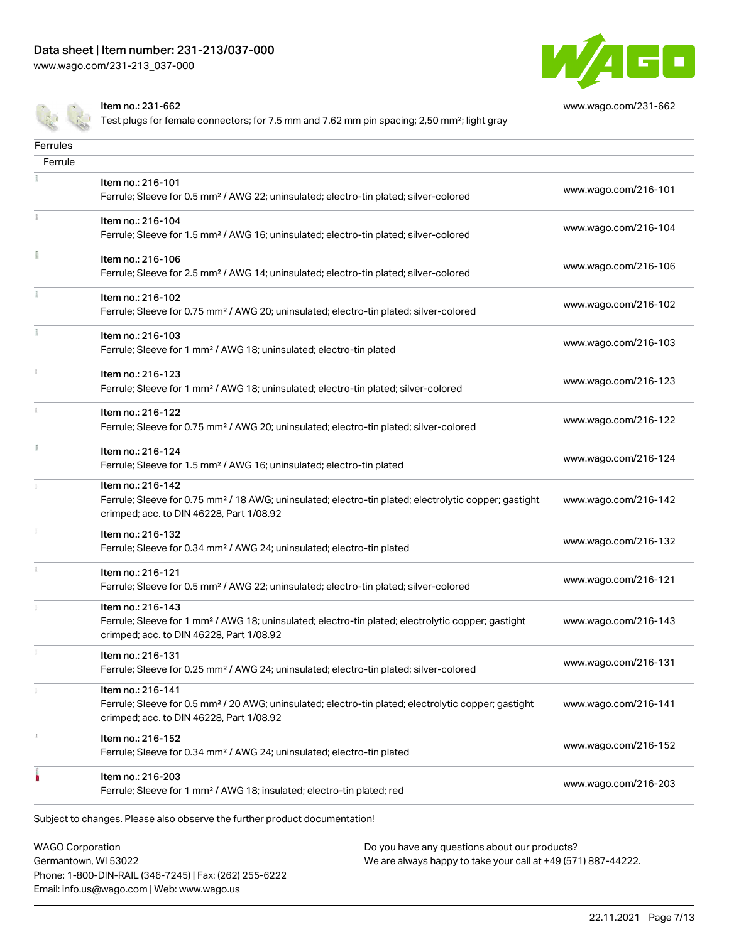Phone: 1-800-DIN-RAIL (346-7245) | Fax: (262) 255-6222

Email: info.us@wago.com | Web: www.wago.us



[www.wago.com/231-662](http://www.wago.com/231-662)

Item no.: 231-662

Test plugs for female connectors; for 7.5 mm and 7.62 mm pin spacing; 2,50 mm<sup>2</sup>; light gray

| <b>Ferrules</b>                                 |                                                                                                                                                                                    |                                                                                                                |                      |
|-------------------------------------------------|------------------------------------------------------------------------------------------------------------------------------------------------------------------------------------|----------------------------------------------------------------------------------------------------------------|----------------------|
| Ferrule                                         |                                                                                                                                                                                    |                                                                                                                |                      |
|                                                 | Item no.: 216-101<br>Ferrule; Sleeve for 0.5 mm <sup>2</sup> / AWG 22; uninsulated; electro-tin plated; silver-colored                                                             |                                                                                                                | www.wago.com/216-101 |
|                                                 | Item no.: 216-104<br>Ferrule; Sleeve for 1.5 mm <sup>2</sup> / AWG 16; uninsulated; electro-tin plated; silver-colored                                                             |                                                                                                                | www.wago.com/216-104 |
| Ē                                               | Item no.: 216-106<br>Ferrule; Sleeve for 2.5 mm <sup>2</sup> / AWG 14; uninsulated; electro-tin plated; silver-colored                                                             |                                                                                                                | www.wago.com/216-106 |
| Ť.                                              | Item no.: 216-102<br>Ferrule; Sleeve for 0.75 mm <sup>2</sup> / AWG 20; uninsulated; electro-tin plated; silver-colored                                                            |                                                                                                                | www.wago.com/216-102 |
|                                                 | Item no.: 216-103<br>Ferrule; Sleeve for 1 mm <sup>2</sup> / AWG 18; uninsulated; electro-tin plated                                                                               |                                                                                                                | www.wago.com/216-103 |
|                                                 | Item no.: 216-123<br>Ferrule; Sleeve for 1 mm <sup>2</sup> / AWG 18; uninsulated; electro-tin plated; silver-colored                                                               |                                                                                                                | www.wago.com/216-123 |
| $\ddot{x}$                                      | Item no.: 216-122<br>Ferrule; Sleeve for 0.75 mm <sup>2</sup> / AWG 20; uninsulated; electro-tin plated; silver-colored                                                            |                                                                                                                | www.wago.com/216-122 |
| I.                                              | Item no.: 216-124<br>Ferrule; Sleeve for 1.5 mm <sup>2</sup> / AWG 16; uninsulated; electro-tin plated                                                                             |                                                                                                                | www.wago.com/216-124 |
|                                                 | Item no.: 216-142<br>Ferrule; Sleeve for 0.75 mm <sup>2</sup> / 18 AWG; uninsulated; electro-tin plated; electrolytic copper; gastight<br>crimped; acc. to DIN 46228, Part 1/08.92 |                                                                                                                | www.wago.com/216-142 |
|                                                 | Item no.: 216-132<br>Ferrule; Sleeve for 0.34 mm <sup>2</sup> / AWG 24; uninsulated; electro-tin plated                                                                            |                                                                                                                | www.wago.com/216-132 |
|                                                 | Item no.: 216-121<br>Ferrule; Sleeve for 0.5 mm <sup>2</sup> / AWG 22; uninsulated; electro-tin plated; silver-colored                                                             |                                                                                                                | www.wago.com/216-121 |
|                                                 | Item no.: 216-143<br>Ferrule; Sleeve for 1 mm <sup>2</sup> / AWG 18; uninsulated; electro-tin plated; electrolytic copper; gastight<br>crimped; acc. to DIN 46228, Part 1/08.92    |                                                                                                                | www.wago.com/216-143 |
|                                                 | Item no.: 216-131<br>Ferrule; Sleeve for 0.25 mm <sup>2</sup> / AWG 24; uninsulated; electro-tin plated; silver-colored                                                            |                                                                                                                | www.wago.com/216-131 |
|                                                 | Item no.: 216-141<br>Ferrule; Sleeve for 0.5 mm <sup>2</sup> / 20 AWG; uninsulated; electro-tin plated; electrolytic copper; gastight<br>crimped; acc. to DIN 46228, Part 1/08.92  |                                                                                                                | www.wago.com/216-141 |
|                                                 | Item no.: 216-152<br>Ferrule; Sleeve for 0.34 mm <sup>2</sup> / AWG 24; uninsulated; electro-tin plated                                                                            |                                                                                                                | www.wago.com/216-152 |
|                                                 | Item no.: 216-203<br>Ferrule; Sleeve for 1 mm <sup>2</sup> / AWG 18; insulated; electro-tin plated; red                                                                            |                                                                                                                | www.wago.com/216-203 |
|                                                 | Subject to changes. Please also observe the further product documentation!                                                                                                         |                                                                                                                |                      |
| <b>WAGO Corporation</b><br>Germantown, WI 53022 |                                                                                                                                                                                    | Do you have any questions about our products?<br>We are always happy to take your call at +49 (571) 887-44222. |                      |

22.11.2021 Page 7/13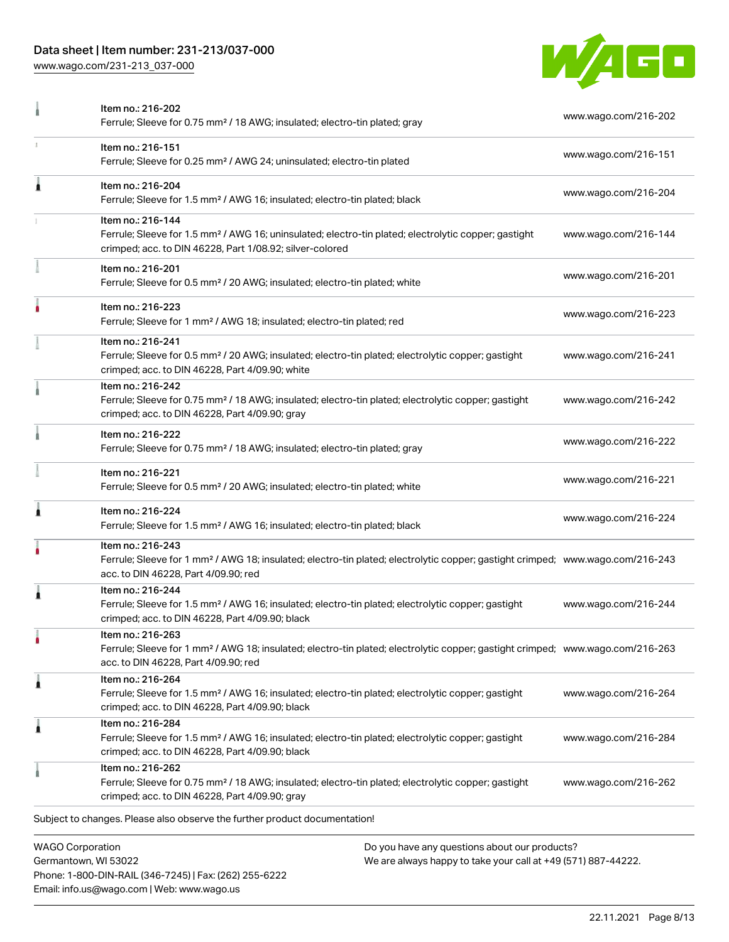### Data sheet | Item number: 231-213/037-000

Phone: 1-800-DIN-RAIL (346-7245) | Fax: (262) 255-6222

Email: info.us@wago.com | Web: www.wago.us

[www.wago.com/231-213\\_037-000](http://www.wago.com/231-213_037-000)



|   | Item no.: 216-202<br>Ferrule; Sleeve for 0.75 mm <sup>2</sup> / 18 AWG; insulated; electro-tin plated; gray                                                                                             |                                                                                                                | www.wago.com/216-202 |
|---|---------------------------------------------------------------------------------------------------------------------------------------------------------------------------------------------------------|----------------------------------------------------------------------------------------------------------------|----------------------|
|   | Item no.: 216-151<br>Ferrule; Sleeve for 0.25 mm <sup>2</sup> / AWG 24; uninsulated; electro-tin plated                                                                                                 |                                                                                                                | www.wago.com/216-151 |
| Ă | Item no.: 216-204<br>Ferrule; Sleeve for 1.5 mm <sup>2</sup> / AWG 16; insulated; electro-tin plated; black                                                                                             |                                                                                                                | www.wago.com/216-204 |
|   | Item no.: 216-144<br>Ferrule; Sleeve for 1.5 mm <sup>2</sup> / AWG 16; uninsulated; electro-tin plated; electrolytic copper; gastight<br>crimped; acc. to DIN 46228, Part 1/08.92; silver-colored       |                                                                                                                | www.wago.com/216-144 |
|   | Item no.: 216-201<br>Ferrule; Sleeve for 0.5 mm <sup>2</sup> / 20 AWG; insulated; electro-tin plated; white                                                                                             |                                                                                                                | www.wago.com/216-201 |
|   | Item no.: 216-223<br>Ferrule; Sleeve for 1 mm <sup>2</sup> / AWG 18; insulated; electro-tin plated; red                                                                                                 |                                                                                                                | www.wago.com/216-223 |
|   | Item no.: 216-241<br>Ferrule; Sleeve for 0.5 mm <sup>2</sup> / 20 AWG; insulated; electro-tin plated; electrolytic copper; gastight<br>crimped; acc. to DIN 46228, Part 4/09.90; white                  |                                                                                                                | www.wago.com/216-241 |
|   | Item no.: 216-242<br>Ferrule; Sleeve for 0.75 mm <sup>2</sup> / 18 AWG; insulated; electro-tin plated; electrolytic copper; gastight<br>crimped; acc. to DIN 46228, Part 4/09.90; gray                  |                                                                                                                | www.wago.com/216-242 |
|   | Item no.: 216-222<br>Ferrule; Sleeve for 0.75 mm <sup>2</sup> / 18 AWG; insulated; electro-tin plated; gray                                                                                             |                                                                                                                | www.wago.com/216-222 |
|   | Item no.: 216-221<br>Ferrule; Sleeve for 0.5 mm <sup>2</sup> / 20 AWG; insulated; electro-tin plated; white                                                                                             |                                                                                                                | www.wago.com/216-221 |
|   | Item no.: 216-224<br>Ferrule; Sleeve for 1.5 mm <sup>2</sup> / AWG 16; insulated; electro-tin plated; black                                                                                             |                                                                                                                | www.wago.com/216-224 |
|   | Item no.: 216-243<br>Ferrule; Sleeve for 1 mm <sup>2</sup> / AWG 18; insulated; electro-tin plated; electrolytic copper; gastight crimped; www.wago.com/216-243<br>acc. to DIN 46228, Part 4/09.90; red |                                                                                                                |                      |
|   | Item no.: 216-244<br>Ferrule; Sleeve for 1.5 mm <sup>2</sup> / AWG 16; insulated; electro-tin plated; electrolytic copper; gastight<br>crimped; acc. to DIN 46228, Part 4/09.90; black                  |                                                                                                                | www.wago.com/216-244 |
| ٠ | Item no.: 216-263<br>Ferrule; Sleeve for 1 mm <sup>2</sup> / AWG 18; insulated; electro-tin plated; electrolytic copper; gastight crimped; www.wago.com/216-263<br>acc. to DIN 46228, Part 4/09.90; red |                                                                                                                |                      |
| Â | Item no.: 216-264<br>Ferrule; Sleeve for 1.5 mm <sup>2</sup> / AWG 16; insulated; electro-tin plated; electrolytic copper; gastight<br>crimped; acc. to DIN 46228, Part 4/09.90; black                  |                                                                                                                | www.wago.com/216-264 |
| Â | Item no.: 216-284<br>Ferrule; Sleeve for 1.5 mm <sup>2</sup> / AWG 16; insulated; electro-tin plated; electrolytic copper; gastight<br>crimped; acc. to DIN 46228, Part 4/09.90; black                  |                                                                                                                | www.wago.com/216-284 |
|   | Item no.: 216-262<br>Ferrule; Sleeve for 0.75 mm <sup>2</sup> / 18 AWG; insulated; electro-tin plated; electrolytic copper; gastight<br>crimped; acc. to DIN 46228, Part 4/09.90; gray                  |                                                                                                                | www.wago.com/216-262 |
|   | Subject to changes. Please also observe the further product documentation!                                                                                                                              |                                                                                                                |                      |
|   | <b>WAGO Corporation</b><br>Germantown, WI 53022                                                                                                                                                         | Do you have any questions about our products?<br>We are always happy to take your call at +49 (571) 887-44222. |                      |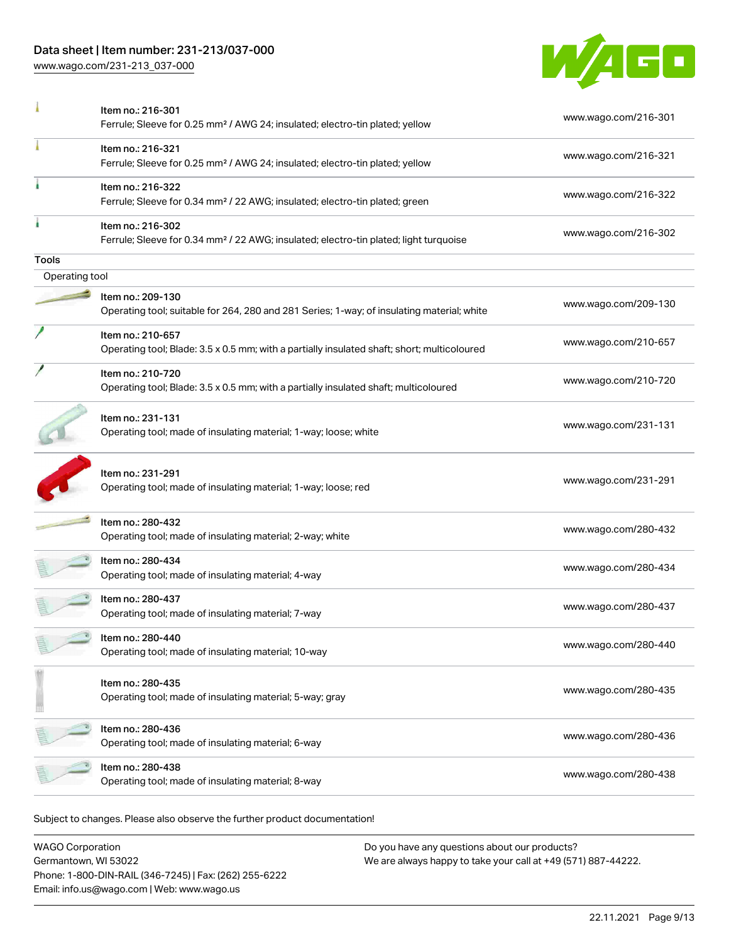### Data sheet | Item number: 231-213/037-000

[www.wago.com/231-213\\_037-000](http://www.wago.com/231-213_037-000)



|                | Item no.: 216-301<br>Ferrule; Sleeve for 0.25 mm <sup>2</sup> / AWG 24; insulated; electro-tin plated; yellow          | www.wago.com/216-301 |
|----------------|------------------------------------------------------------------------------------------------------------------------|----------------------|
|                | Item no.: 216-321<br>Ferrule; Sleeve for 0.25 mm <sup>2</sup> / AWG 24; insulated; electro-tin plated; yellow          | www.wago.com/216-321 |
|                | Item no.: 216-322<br>Ferrule; Sleeve for 0.34 mm <sup>2</sup> / 22 AWG; insulated; electro-tin plated; green           | www.wago.com/216-322 |
|                | Item no.: 216-302<br>Ferrule; Sleeve for 0.34 mm <sup>2</sup> / 22 AWG; insulated; electro-tin plated; light turquoise | www.wago.com/216-302 |
| Tools          |                                                                                                                        |                      |
| Operating tool |                                                                                                                        |                      |
|                | Item no.: 209-130<br>Operating tool; suitable for 264, 280 and 281 Series; 1-way; of insulating material; white        | www.wago.com/209-130 |
|                | Item no.: 210-657<br>Operating tool; Blade: 3.5 x 0.5 mm; with a partially insulated shaft; short; multicoloured       | www.wago.com/210-657 |
|                | Item no.: 210-720<br>Operating tool; Blade: 3.5 x 0.5 mm; with a partially insulated shaft; multicoloured              | www.wago.com/210-720 |
|                | Item no.: 231-131<br>Operating tool; made of insulating material; 1-way; loose; white                                  | www.wago.com/231-131 |
|                | Item no.: 231-291<br>Operating tool; made of insulating material; 1-way; loose; red                                    | www.wago.com/231-291 |
|                | Item no.: 280-432<br>Operating tool; made of insulating material; 2-way; white                                         | www.wago.com/280-432 |
|                | Item no.: 280-434<br>Operating tool; made of insulating material; 4-way                                                | www.wago.com/280-434 |
|                | Item no.: 280-437<br>Operating tool; made of insulating material; 7-way                                                | www.wago.com/280-437 |
|                | Item no.: 280-440<br>Operating tool; made of insulating material; 10-way                                               | www.wago.com/280-440 |
|                | Item no.: 280-435<br>Operating tool; made of insulating material; 5-way; gray                                          | www.wago.com/280-435 |
|                | Item no.: 280-436<br>Operating tool; made of insulating material; 6-way                                                | www.wago.com/280-436 |
|                | Item no.: 280-438<br>Operating tool; made of insulating material; 8-way                                                | www.wago.com/280-438 |

WAGO Corporation Germantown, WI 53022 Phone: 1-800-DIN-RAIL (346-7245) | Fax: (262) 255-6222 Email: info.us@wago.com | Web: www.wago.us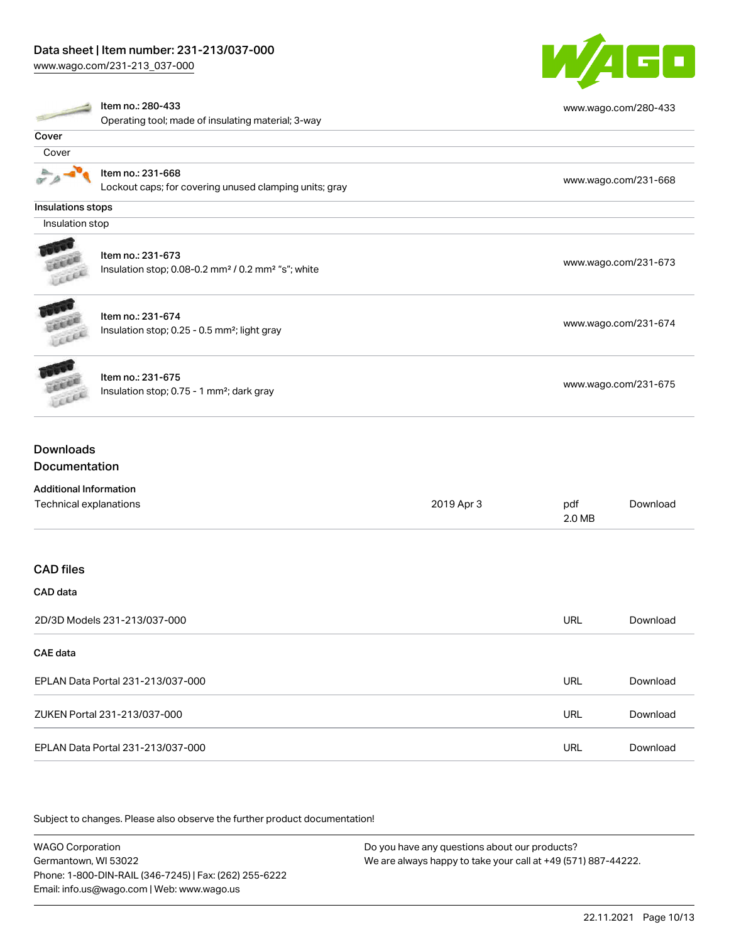[www.wago.com/231-213\\_037-000](http://www.wago.com/231-213_037-000)



|                               | Item no.: 280-433                                                          |            |               | www.wago.com/280-433 |
|-------------------------------|----------------------------------------------------------------------------|------------|---------------|----------------------|
|                               | Operating tool; made of insulating material; 3-way                         |            |               |                      |
| Cover                         |                                                                            |            |               |                      |
| Cover                         |                                                                            |            |               |                      |
|                               | Item no.: 231-668                                                          |            |               | www.wago.com/231-668 |
|                               | Lockout caps; for covering unused clamping units; gray                     |            |               |                      |
| Insulations stops             |                                                                            |            |               |                      |
| Insulation stop               |                                                                            |            |               |                      |
|                               |                                                                            |            |               |                      |
|                               | Item no.: 231-673                                                          |            |               | www.wago.com/231-673 |
|                               | Insulation stop; 0.08-0.2 mm <sup>2</sup> / 0.2 mm <sup>2</sup> "s"; white |            |               |                      |
|                               | Item no.: 231-674                                                          |            |               |                      |
|                               | Insulation stop; 0.25 - 0.5 mm <sup>2</sup> ; light gray                   |            |               | www.wago.com/231-674 |
|                               |                                                                            |            |               |                      |
|                               | Item no.: 231-675                                                          |            |               |                      |
|                               | Insulation stop; 0.75 - 1 mm <sup>2</sup> ; dark gray                      |            |               | www.wago.com/231-675 |
| <b>Downloads</b>              |                                                                            |            |               |                      |
| Documentation                 |                                                                            |            |               |                      |
| <b>Additional Information</b> |                                                                            |            |               |                      |
| Technical explanations        |                                                                            | 2019 Apr 3 | pdf<br>2.0 MB | Download             |
|                               |                                                                            |            |               |                      |
| <b>CAD</b> files              |                                                                            |            |               |                      |
| CAD data                      |                                                                            |            |               |                      |
|                               | 2D/3D Models 231-213/037-000                                               |            | <b>URL</b>    | Download             |
| <b>CAE</b> data               |                                                                            |            |               |                      |
|                               | EPLAN Data Portal 231-213/037-000                                          |            | <b>URL</b>    | Download             |
|                               | ZUKEN Portal 231-213/037-000                                               |            | <b>URL</b>    | Download             |
|                               | EPLAN Data Portal 231-213/037-000                                          |            | <b>URL</b>    | Download             |

Subject to changes. Please also observe the further product documentation!

WAGO Corporation Germantown, WI 53022 Phone: 1-800-DIN-RAIL (346-7245) | Fax: (262) 255-6222 Email: info.us@wago.com | Web: www.wago.us Do you have any questions about our products? We are always happy to take your call at +49 (571) 887-44222.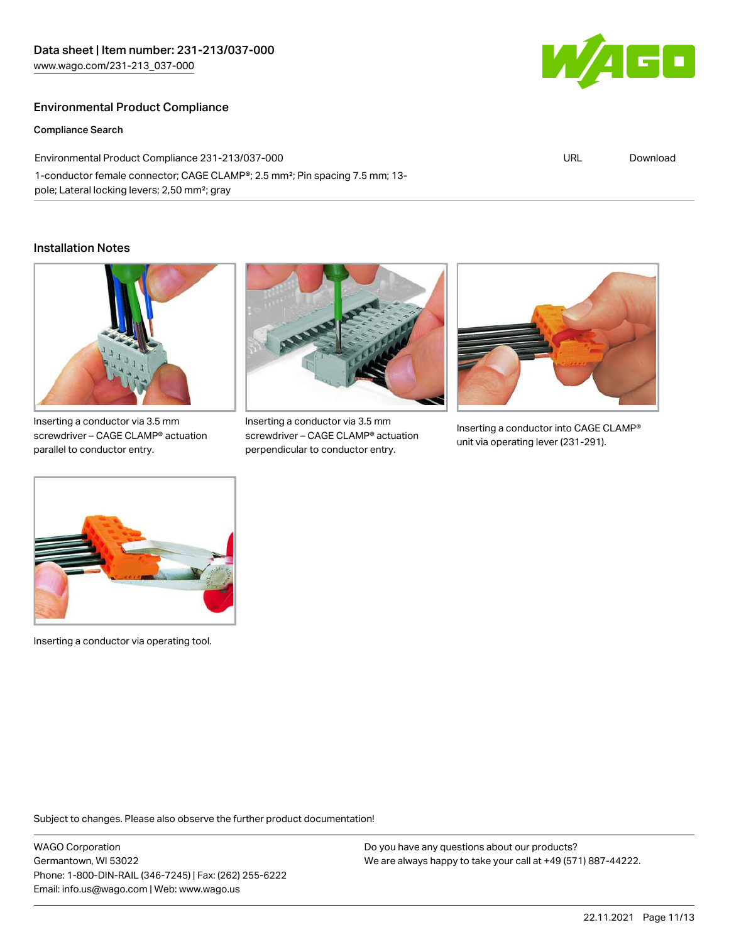### Environmental Product Compliance

Compliance Search

Environmental Product Compliance 231-213/037-000 1-conductor female connector; CAGE CLAMP®; 2.5 mm²; Pin spacing 7.5 mm; 13 pole; Lateral locking levers; 2,50 mm²; gray

#### Installation Notes



Inserting a conductor via 3.5 mm screwdriver – CAGE CLAMP® actuation parallel to conductor entry.



Inserting a conductor via 3.5 mm screwdriver – CAGE CLAMP® actuation perpendicular to conductor entry.



Inserting a conductor into CAGE CLAMP® unit via operating lever (231-291).



Inserting a conductor via operating tool.

Subject to changes. Please also observe the further product documentation!

WAGO Corporation Germantown, WI 53022 Phone: 1-800-DIN-RAIL (346-7245) | Fax: (262) 255-6222 Email: info.us@wago.com | Web: www.wago.us

Do you have any questions about our products? We are always happy to take your call at +49 (571) 887-44222.



URL [Download](https://www.wago.com/global/d/ComplianceLinkMediaContainer_231-213_037-000)

22.11.2021 Page 11/13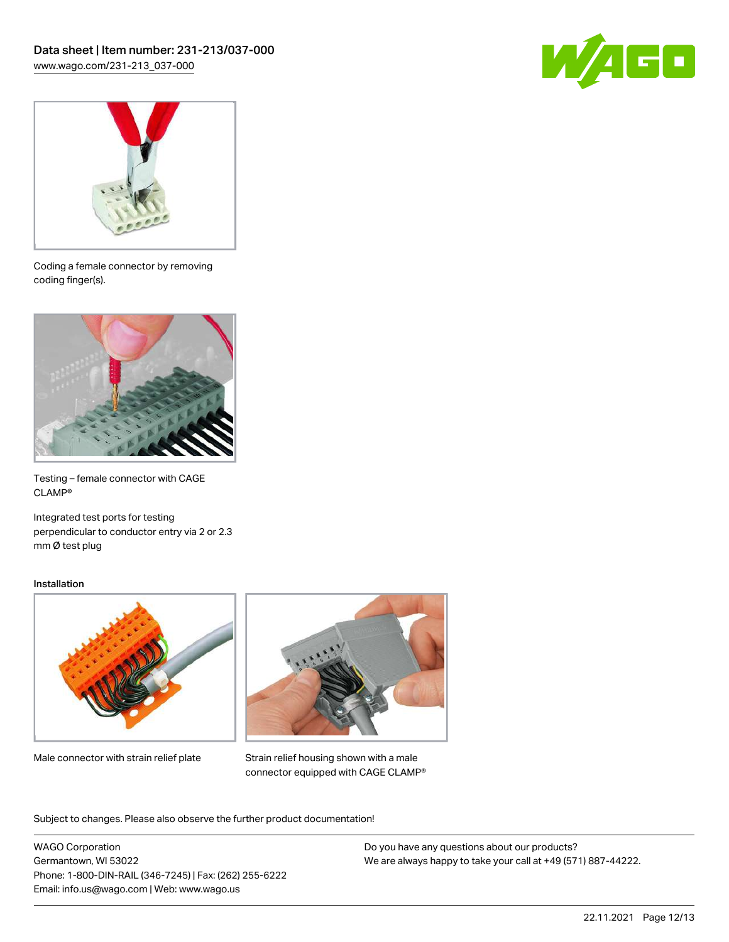



Coding a female connector by removing coding finger(s).



Testing – female connector with CAGE CLAMP®

Integrated test ports for testing perpendicular to conductor entry via 2 or 2.3 mm Ø test plug

#### Installation



Male connector with strain relief plate



Strain relief housing shown with a male connector equipped with CAGE CLAMP®

Subject to changes. Please also observe the further product documentation!

WAGO Corporation Germantown, WI 53022 Phone: 1-800-DIN-RAIL (346-7245) | Fax: (262) 255-6222 Email: info.us@wago.com | Web: www.wago.us